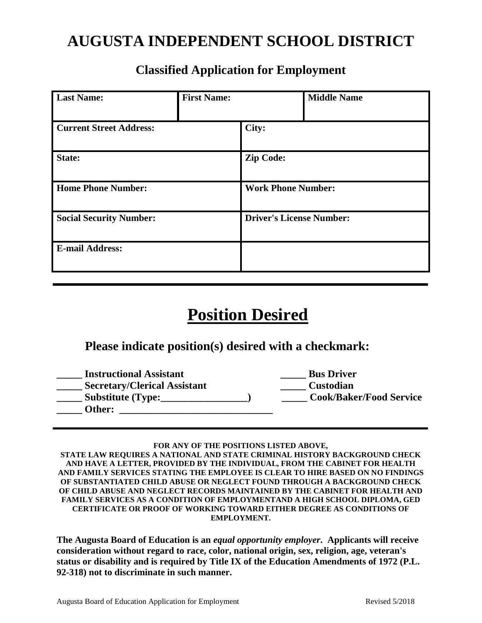# **AUGUSTA INDEPENDENT SCHOOL DISTRICT**

| <b>Last Name:</b>              | <b>First Name:</b> |                                 | <b>Middle Name</b> |
|--------------------------------|--------------------|---------------------------------|--------------------|
| <b>Current Street Address:</b> |                    | City:                           |                    |
| State:                         |                    | <b>Zip Code:</b>                |                    |
| <b>Home Phone Number:</b>      |                    | <b>Work Phone Number:</b>       |                    |
| <b>Social Security Number:</b> |                    | <b>Driver's License Number:</b> |                    |
| <b>E-mail Address:</b>         |                    |                                 |                    |

## **Classified Application for Employment**

# **Position Desired**

## **Please indicate position(s) desired with a checkmark:**

| <b>Instructional Assistant</b>      | <b>Bus Driver</b>              |
|-------------------------------------|--------------------------------|
| <b>Secretary/Clerical Assistant</b> | <b>Custodian</b>               |
| <b>Substitute (Type:</b>            | <b>Cook/Baker/Food Service</b> |
| Other:                              |                                |
|                                     |                                |

#### **FOR ANY OF THE POSITIONS LISTED ABOVE,**

**STATE LAW REQUIRES A NATIONAL AND STATE CRIMINAL HISTORY BACKGROUND CHECK AND HAVE A LETTER, PROVIDED BY THE INDIVIDUAL, FROM THE CABINET FOR HEALTH AND FAMILY SERVICES STATING THE EMPLOYEE IS CLEAR TO HIRE BASED ON NO FINDINGS OF SUBSTANTIATED CHILD ABUSE OR NEGLECT FOUND THROUGH A BACKGROUND CHECK OF CHILD ABUSE AND NEGLECT RECORDS MAINTAINED BY THE CABINET FOR HEALTH AND FAMILY SERVICES AS A CONDITION OF EMPLOYMENTAND A HIGH SCHOOL DIPLOMA, GED CERTIFICATE OR PROOF OF WORKING TOWARD EITHER DEGREE AS CONDITIONS OF EMPLOYMENT.**

**The Augusta Board of Education is an** *equal opportunity employer***. Applicants will receive consideration without regard to race, color, national origin, sex, religion, age, veteran's status or disability and is required by Title IX of the Education Amendments of 1972 (P.L. 92-318) not to discriminate in such manner.**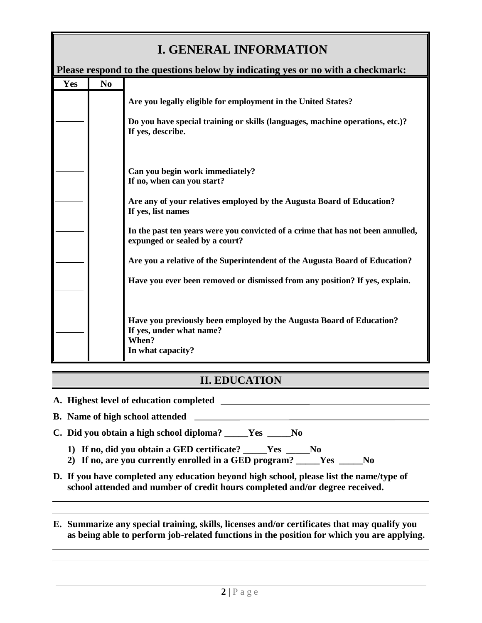## **I. GENERAL INFORMATION**

| Please respond to the questions below by indicating yes or no with a checkmark: |                |                                                                                                                                |  |
|---------------------------------------------------------------------------------|----------------|--------------------------------------------------------------------------------------------------------------------------------|--|
| Yes                                                                             | N <sub>0</sub> |                                                                                                                                |  |
|                                                                                 |                | Are you legally eligible for employment in the United States?                                                                  |  |
|                                                                                 |                | Do you have special training or skills (languages, machine operations, etc.)?<br>If yes, describe.                             |  |
|                                                                                 |                | Can you begin work immediately?<br>If no, when can you start?                                                                  |  |
|                                                                                 |                | Are any of your relatives employed by the Augusta Board of Education?<br>If yes, list names                                    |  |
|                                                                                 |                | In the past ten years were you convicted of a crime that has not been annulled,<br>expunged or sealed by a court?              |  |
|                                                                                 |                | Are you a relative of the Superintendent of the Augusta Board of Education?                                                    |  |
|                                                                                 |                | Have you ever been removed or dismissed from any position? If yes, explain.                                                    |  |
|                                                                                 |                | Have you previously been employed by the Augusta Board of Education?<br>If yes, under what name?<br>When?<br>In what capacity? |  |

## **II. EDUCATION**

**A. Highest level of education completed** 

**B. Name of high school attended** 

- **C. Did you obtain a high school diploma? \_\_\_\_\_Yes \_\_\_\_\_No**
	- **1) If no, did you obtain a GED certificate? \_\_\_\_\_Yes \_\_\_\_\_No**
	- **2) If no, are you currently enrolled in a GED program? \_\_\_\_\_Yes \_\_\_\_\_No**
- **D. If you have completed any education beyond high school, please list the name/type of school attended and number of credit hours completed and/or degree received.**
- **E. Summarize any special training, skills, licenses and/or certificates that may qualify you as being able to perform job-related functions in the position for which you are applying.**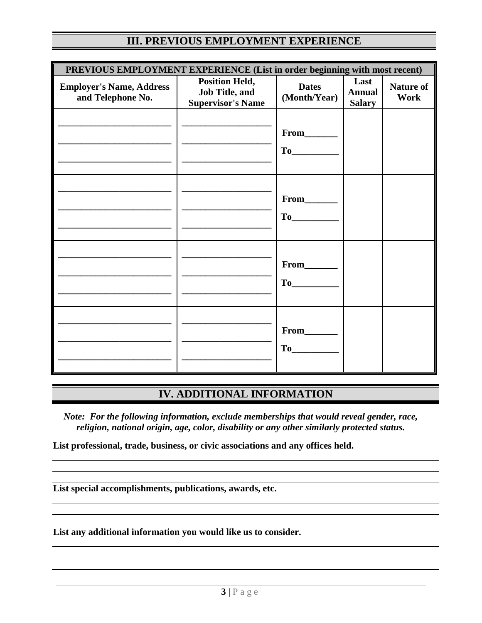|  |  |  |  | <b>III. PREVIOUS EMPLOYMENT EXPERIENCE</b> |
|--|--|--|--|--------------------------------------------|
|--|--|--|--|--------------------------------------------|

| PREVIOUS EMPLOYMENT EXPERIENCE (List in order beginning with most recent) |                                                                            |                                                                                                                                                                                                                                               |                                        |                                 |
|---------------------------------------------------------------------------|----------------------------------------------------------------------------|-----------------------------------------------------------------------------------------------------------------------------------------------------------------------------------------------------------------------------------------------|----------------------------------------|---------------------------------|
| <b>Employer's Name, Address</b><br>and Telephone No.                      | <b>Position Held,</b><br><b>Job Title, and</b><br><b>Supervisor's Name</b> | <b>Dates</b><br>(Month/Year)                                                                                                                                                                                                                  | Last<br><b>Annual</b><br><b>Salary</b> | <b>Nature of</b><br><b>Work</b> |
|                                                                           |                                                                            |                                                                                                                                                                                                                                               |                                        |                                 |
|                                                                           |                                                                            | From______<br>To                                                                                                                                                                                                                              |                                        |                                 |
|                                                                           |                                                                            | From_______<br>To                                                                                                                                                                                                                             |                                        |                                 |
|                                                                           |                                                                            | From_______<br>To the state of the state of the state of the state of the state of the state of the state of the state of the state of the state of the state of the state of the state of the state of the state of the state of the state o |                                        |                                 |

### **IV. ADDITIONAL INFORMATION**

*Note: For the following information, exclude memberships that would reveal gender, race, religion, national origin, age, color, disability or any other similarly protected status.*

**List professional, trade, business, or civic associations and any offices held.**

**List special accomplishments, publications, awards, etc.**

**List any additional information you would like us to consider.**